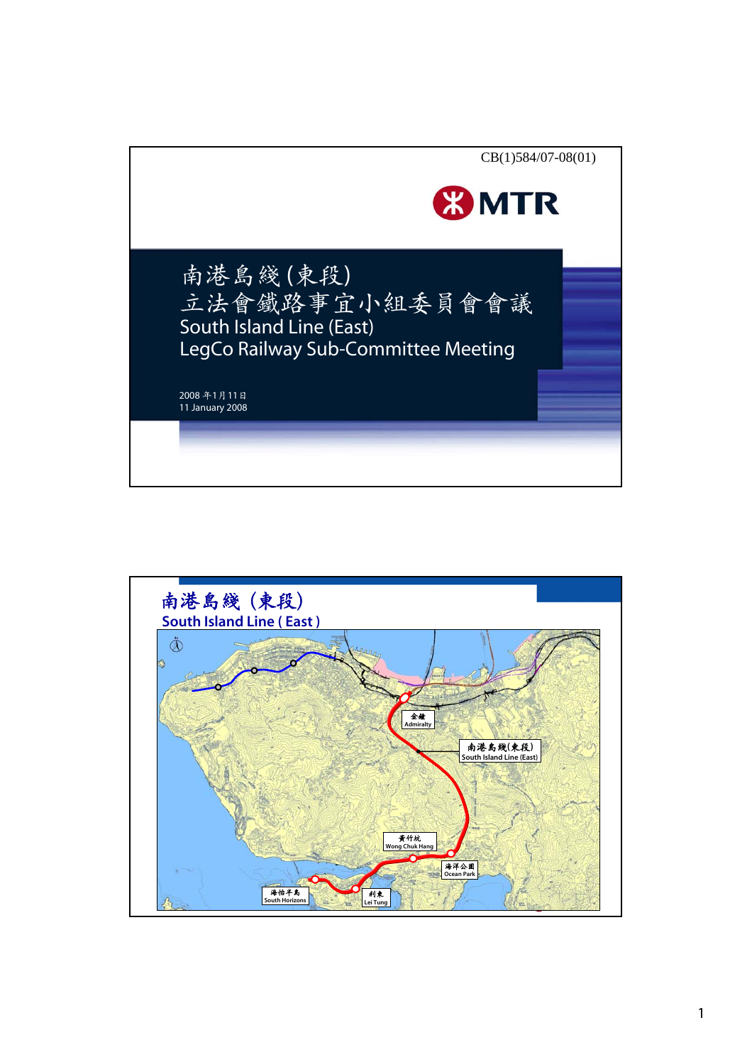

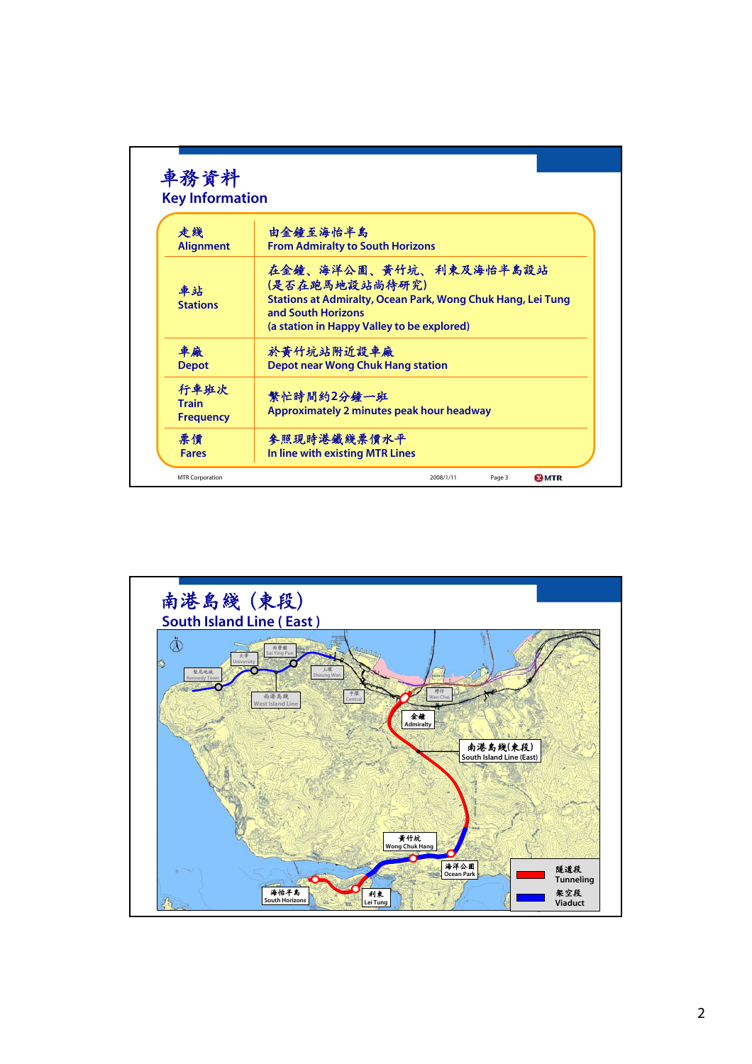| 走綫                                       | 由金鐘至海怡半島                                                                                                                                                                    |
|------------------------------------------|-----------------------------------------------------------------------------------------------------------------------------------------------------------------------------|
| <b>Alignment</b>                         | <b>From Admiralty to South Horizons</b>                                                                                                                                     |
| 車站<br><b>Stations</b>                    | 在金鐘、海洋公園、黃竹坑、利東及海怡半島設站<br>(是否在跑馬地設站尚待研究)<br>Stations at Admiralty, Ocean Park, Wong Chuk Hang, Lei Tung<br>and South Horizons<br>(a station in Happy Valley to be explored) |
| 車廠                                       | 於黃竹坑站附近設車廠                                                                                                                                                                  |
| <b>Depot</b>                             | <b>Depot near Wong Chuk Hang station</b>                                                                                                                                    |
| 行車班次<br><b>Train</b><br><b>Frequency</b> | 繁忙時間約2分鐘一班<br>Approximately 2 minutes peak hour headway                                                                                                                     |
| 票價                                       | 参照現時港鐵綫票價水平                                                                                                                                                                 |
| <b>Fares</b>                             | In line with existing MTR Lines                                                                                                                                             |

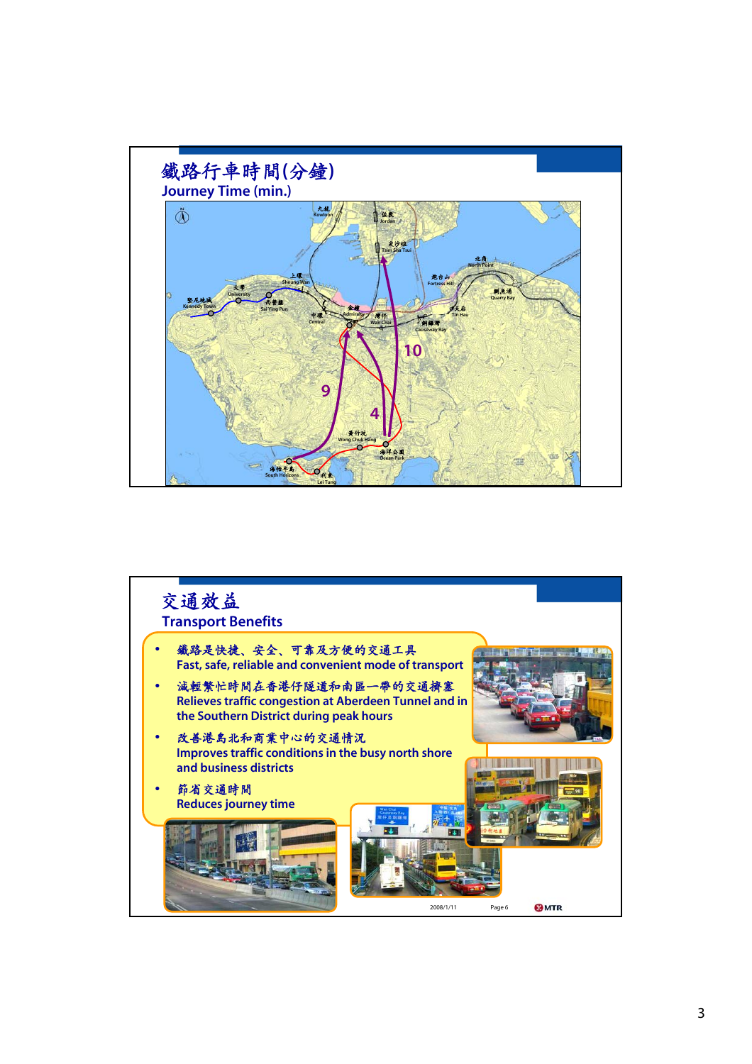

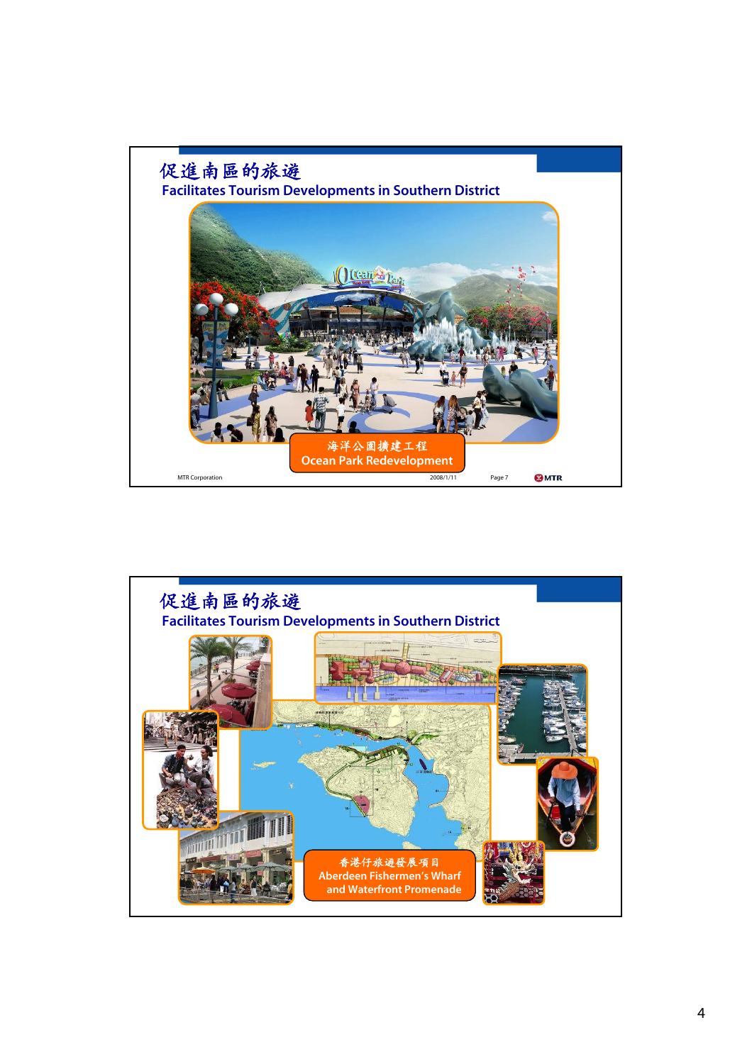

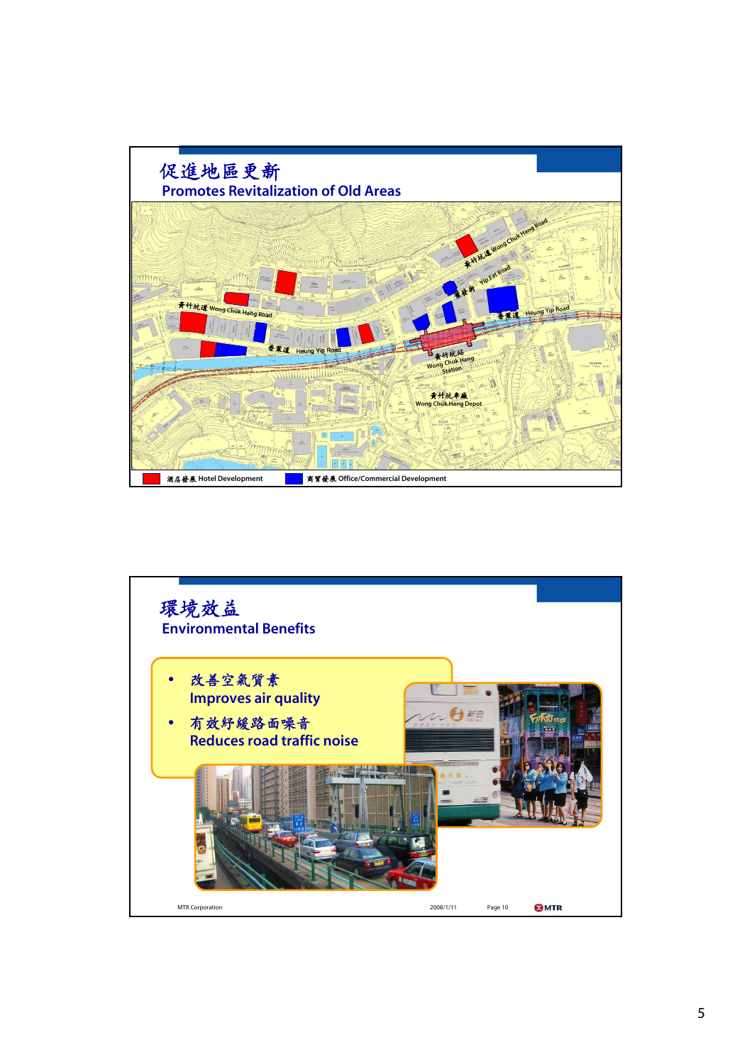

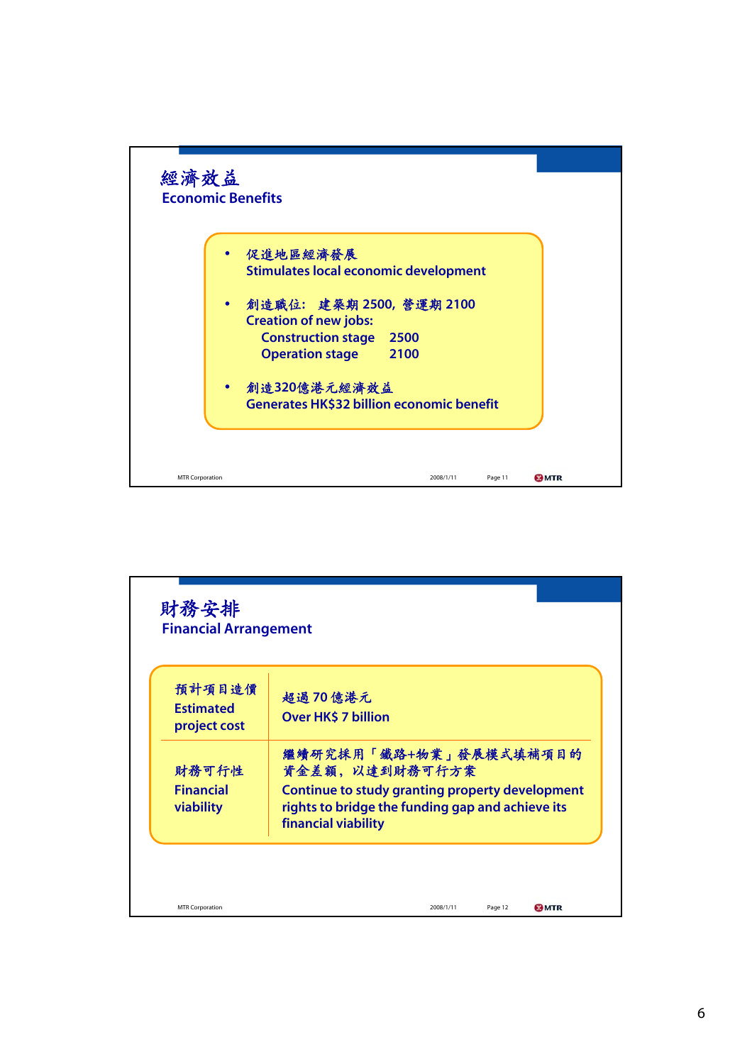

| 預計項目造價<br><b>Fstimated</b><br>project cost | 超過70億港元<br><b>Over HK\$ 7 billion</b>                                                                                                                                   |
|--------------------------------------------|-------------------------------------------------------------------------------------------------------------------------------------------------------------------------|
| 財務可行性<br><b>Financial</b><br>viability     | 繼續研究採用「鐵路+物業」發展模式填補項目的<br>資金差額, 以達到財務可行方案<br>Continue to study granting property development<br>rights to bridge the funding gap and achieve its<br>financial viability |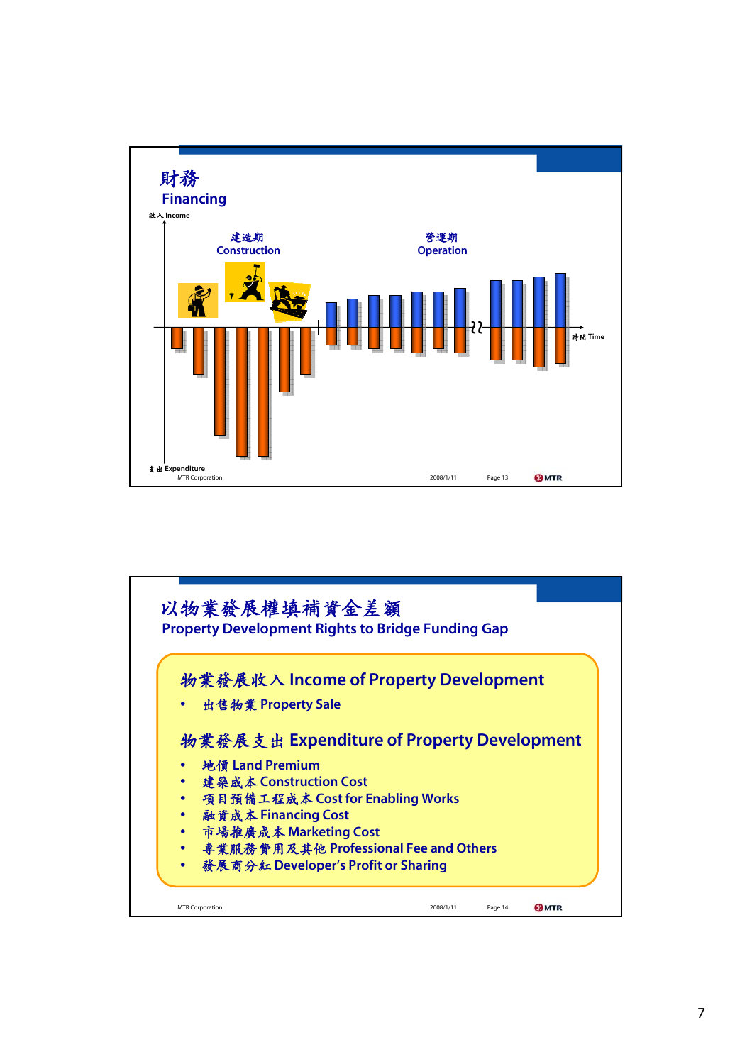